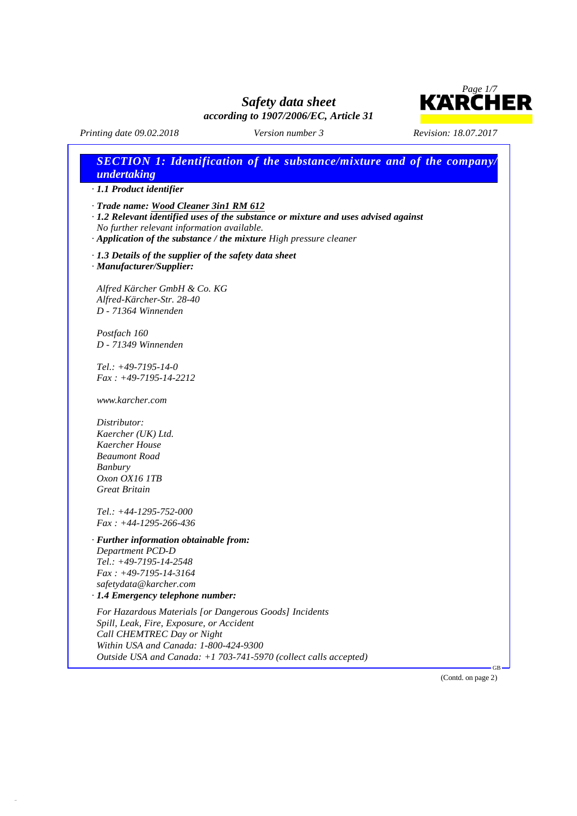*Printing date 09.02.2018 Version number 3 Revision: 18.07.2017*

46.0.7



| · Trade name: Wood Cleaner 3in1 RM 612<br>$\cdot$ 1.2 Relevant identified uses of the substance or mixture and uses advised against<br>No further relevant information available.<br>$\cdot$ Application of the substance / the mixture High pressure cleaner<br>$\cdot$ 1.3 Details of the supplier of the safety data sheet<br>Alfred Kärcher GmbH & Co. KG<br>Oxon OX16 1TB<br><b>Great Britain</b><br>· Further information obtainable from:<br>1.4 Emergency telephone number:<br>For Hazardous Materials [or Dangerous Goods] Incidents<br>Spill, Leak, Fire, Exposure, or Accident<br>Call CHEMTREC Day or Night | · 1.1 Product identifier              |  |
|-------------------------------------------------------------------------------------------------------------------------------------------------------------------------------------------------------------------------------------------------------------------------------------------------------------------------------------------------------------------------------------------------------------------------------------------------------------------------------------------------------------------------------------------------------------------------------------------------------------------------|---------------------------------------|--|
|                                                                                                                                                                                                                                                                                                                                                                                                                                                                                                                                                                                                                         |                                       |  |
|                                                                                                                                                                                                                                                                                                                                                                                                                                                                                                                                                                                                                         | · Manufacturer/Supplier:              |  |
|                                                                                                                                                                                                                                                                                                                                                                                                                                                                                                                                                                                                                         |                                       |  |
|                                                                                                                                                                                                                                                                                                                                                                                                                                                                                                                                                                                                                         | Alfred-Kärcher-Str. 28-40             |  |
|                                                                                                                                                                                                                                                                                                                                                                                                                                                                                                                                                                                                                         | D - 71364 Winnenden                   |  |
|                                                                                                                                                                                                                                                                                                                                                                                                                                                                                                                                                                                                                         | Postfach 160                          |  |
|                                                                                                                                                                                                                                                                                                                                                                                                                                                                                                                                                                                                                         | D - 71349 Winnenden                   |  |
|                                                                                                                                                                                                                                                                                                                                                                                                                                                                                                                                                                                                                         | $Tel.: +49-7195-14-0$                 |  |
|                                                                                                                                                                                                                                                                                                                                                                                                                                                                                                                                                                                                                         | $Fax: +49-7195-14-2212$               |  |
|                                                                                                                                                                                                                                                                                                                                                                                                                                                                                                                                                                                                                         | www.karcher.com                       |  |
|                                                                                                                                                                                                                                                                                                                                                                                                                                                                                                                                                                                                                         | Distributor:                          |  |
|                                                                                                                                                                                                                                                                                                                                                                                                                                                                                                                                                                                                                         | Kaercher (UK) Ltd.                    |  |
|                                                                                                                                                                                                                                                                                                                                                                                                                                                                                                                                                                                                                         | Kaercher House                        |  |
|                                                                                                                                                                                                                                                                                                                                                                                                                                                                                                                                                                                                                         | <b>Beaumont Road</b>                  |  |
|                                                                                                                                                                                                                                                                                                                                                                                                                                                                                                                                                                                                                         | <b>Banbury</b>                        |  |
|                                                                                                                                                                                                                                                                                                                                                                                                                                                                                                                                                                                                                         |                                       |  |
|                                                                                                                                                                                                                                                                                                                                                                                                                                                                                                                                                                                                                         |                                       |  |
|                                                                                                                                                                                                                                                                                                                                                                                                                                                                                                                                                                                                                         | $Tel.: +44-1295-752-000$              |  |
|                                                                                                                                                                                                                                                                                                                                                                                                                                                                                                                                                                                                                         | $Fax: +44-1295-266-436$               |  |
|                                                                                                                                                                                                                                                                                                                                                                                                                                                                                                                                                                                                                         |                                       |  |
|                                                                                                                                                                                                                                                                                                                                                                                                                                                                                                                                                                                                                         | Department PCD-D                      |  |
|                                                                                                                                                                                                                                                                                                                                                                                                                                                                                                                                                                                                                         | Tel.: +49-7195-14-2548                |  |
|                                                                                                                                                                                                                                                                                                                                                                                                                                                                                                                                                                                                                         | $Fax: +49-7195-14-3164$               |  |
|                                                                                                                                                                                                                                                                                                                                                                                                                                                                                                                                                                                                                         | safetydata@karcher.com                |  |
|                                                                                                                                                                                                                                                                                                                                                                                                                                                                                                                                                                                                                         |                                       |  |
|                                                                                                                                                                                                                                                                                                                                                                                                                                                                                                                                                                                                                         |                                       |  |
|                                                                                                                                                                                                                                                                                                                                                                                                                                                                                                                                                                                                                         |                                       |  |
|                                                                                                                                                                                                                                                                                                                                                                                                                                                                                                                                                                                                                         |                                       |  |
| Outside USA and Canada: +1 703-741-5970 (collect calls accepted)                                                                                                                                                                                                                                                                                                                                                                                                                                                                                                                                                        | Within USA and Canada: 1-800-424-9300 |  |

(Contd. on page 2)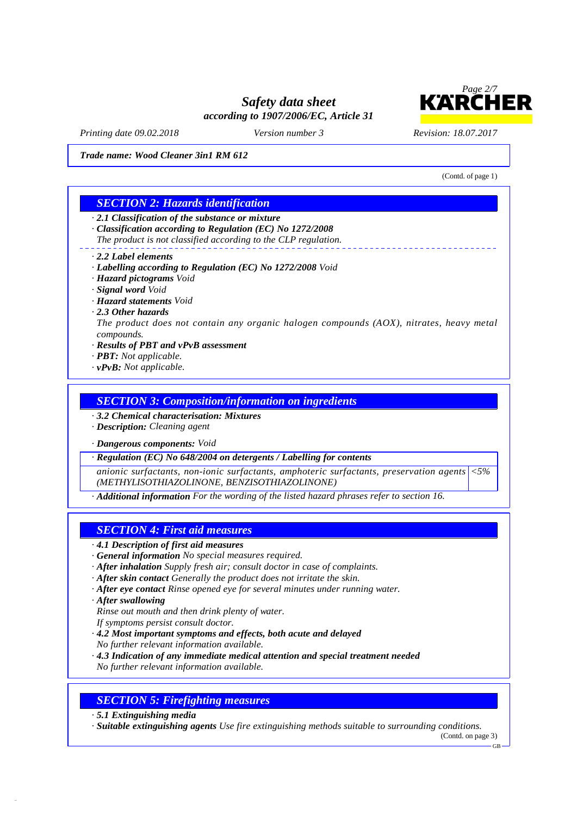

*Printing date 09.02.2018 Version number 3 Revision: 18.07.2017*

*Trade name: Wood Cleaner 3in1 RM 612*

(Contd. of page 1)

# *SECTION 2: Hazards identification*

*· 2.1 Classification of the substance or mixture*

- *· Classification according to Regulation (EC) No 1272/2008*
- *The product is not classified according to the CLP regulation.*
- *· 2.2 Label elements*
- *· Labelling according to Regulation (EC) No 1272/2008 Void*
- *· Hazard pictograms Void*
- *· Signal word Void*
- *· Hazard statements Void*
- *· 2.3 Other hazards*

*The product does not contain any organic halogen compounds (AOX), nitrates, heavy metal compounds.*

- *· Results of PBT and vPvB assessment*
- *· PBT: Not applicable.*
- *· vPvB: Not applicable.*

*SECTION 3: Composition/information on ingredients*

- *· 3.2 Chemical characterisation: Mixtures*
- *· Description: Cleaning agent*
- *· Dangerous components: Void*

*· Regulation (EC) No 648/2004 on detergents / Labelling for contents*

*anionic surfactants, non-ionic surfactants, amphoteric surfactants, preservation agents <5% (METHYLISOTHIAZOLINONE, BENZISOTHIAZOLINONE)*

*· Additional information For the wording of the listed hazard phrases refer to section 16.*

### *SECTION 4: First aid measures*

- *· 4.1 Description of first aid measures*
- *· General information No special measures required.*
- *· After inhalation Supply fresh air; consult doctor in case of complaints.*
- *· After skin contact Generally the product does not irritate the skin.*
- *· After eye contact Rinse opened eye for several minutes under running water.*
- *· After swallowing*
- *Rinse out mouth and then drink plenty of water.*
- *If symptoms persist consult doctor.*
- *· 4.2 Most important symptoms and effects, both acute and delayed No further relevant information available.*
- *· 4.3 Indication of any immediate medical attention and special treatment needed*
- *No further relevant information available.*

## *SECTION 5: Firefighting measures*

*· 5.1 Extinguishing media*

46.0.7

*· Suitable extinguishing agents Use fire extinguishing methods suitable to surrounding conditions.*

(Contd. on page 3)

GB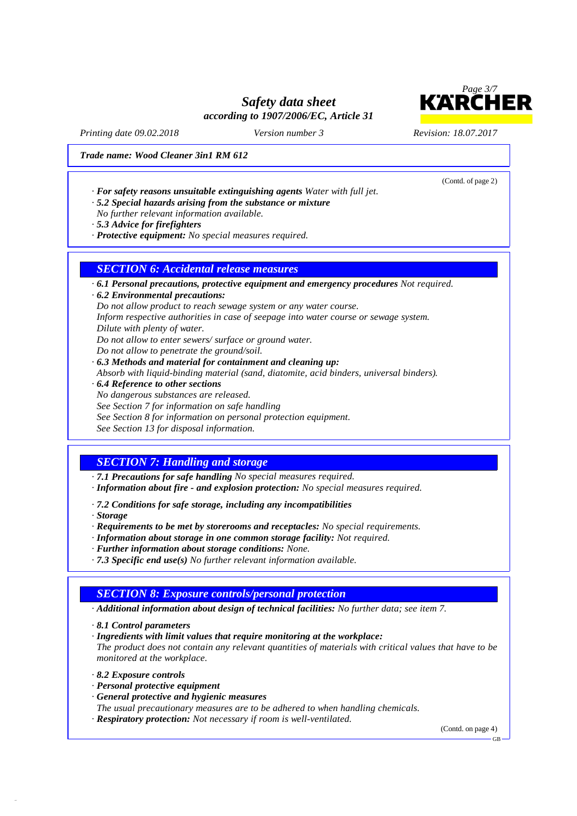

(Contd. of page 2)

*Printing date 09.02.2018 Version number 3 Revision: 18.07.2017*

#### *Trade name: Wood Cleaner 3in1 RM 612*

- *· For safety reasons unsuitable extinguishing agents Water with full jet.*
- *· 5.2 Special hazards arising from the substance or mixture*
- *No further relevant information available.*
- *· 5.3 Advice for firefighters*
- *· Protective equipment: No special measures required.*

### *SECTION 6: Accidental release measures*

*· 6.1 Personal precautions, protective equipment and emergency procedures Not required.*

*· 6.2 Environmental precautions:*

*Do not allow product to reach sewage system or any water course.*

*Inform respective authorities in case of seepage into water course or sewage system. Dilute with plenty of water.*

*Do not allow to enter sewers/ surface or ground water.*

*Do not allow to penetrate the ground/soil.*

- *· 6.3 Methods and material for containment and cleaning up:*
- *Absorb with liquid-binding material (sand, diatomite, acid binders, universal binders).*
- *· 6.4 Reference to other sections*
- *No dangerous substances are released.*

*See Section 7 for information on safe handling*

*See Section 8 for information on personal protection equipment.*

*See Section 13 for disposal information.*

## *SECTION 7: Handling and storage*

- *· 7.1 Precautions for safe handling No special measures required.*
- *· Information about fire - and explosion protection: No special measures required.*
- *· 7.2 Conditions for safe storage, including any incompatibilities*
- *· Storage*
- *· Requirements to be met by storerooms and receptacles: No special requirements.*
- *· Information about storage in one common storage facility: Not required.*
- *· Further information about storage conditions: None.*
- *· 7.3 Specific end use(s) No further relevant information available.*

### *SECTION 8: Exposure controls/personal protection*

*· Additional information about design of technical facilities: No further data; see item 7.*

- *· 8.1 Control parameters*
- *· Ingredients with limit values that require monitoring at the workplace:*

*The product does not contain any relevant quantities of materials with critical values that have to be monitored at the workplace.*

*· 8.2 Exposure controls*

46.0.7

- *· Personal protective equipment*
- *· General protective and hygienic measures*
- *The usual precautionary measures are to be adhered to when handling chemicals.*
- *· Respiratory protection: Not necessary if room is well-ventilated.*

(Contd. on page 4)

GB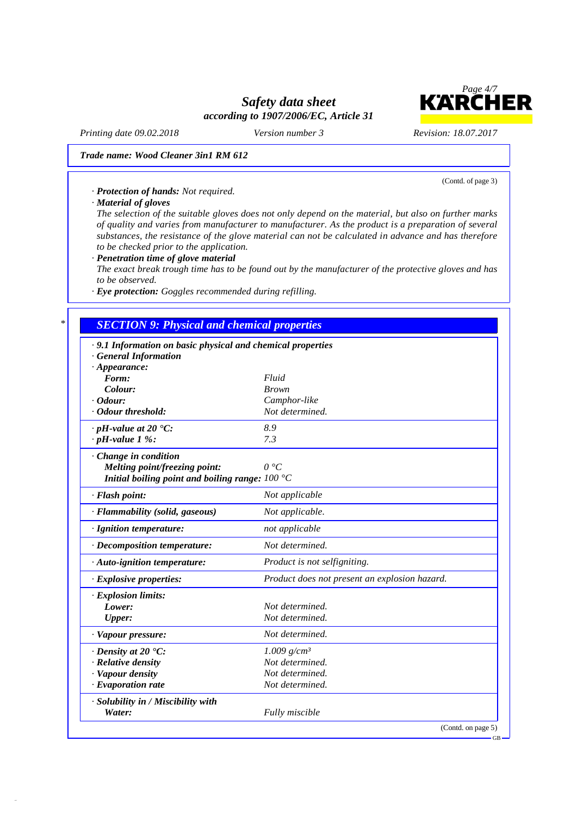

(Contd. of page 3)

GB

*Printing date 09.02.2018 Version number 3 Revision: 18.07.2017*

#### *Trade name: Wood Cleaner 3in1 RM 612*

*· Protection of hands: Not required.*

*· Material of gloves*

46.0.7

The selection of the suitable gloves does not only depend on the material, but also on further marks *of quality and varies from manufacturer to manufacturer. As the product is a preparation of several substances, the resistance of the glove material can not be calculated in advance and has therefore to be checked prior to the application.*

*· Penetration time of glove material*

The exact break trough time has to be found out by the manufacturer of the protective gloves and has *to be observed.*

*· Eye protection: Goggles recommended during refilling.*

## *\* SECTION 9: Physical and chemical properties*

| · 9.1 Information on basic physical and chemical properties |                                               |
|-------------------------------------------------------------|-----------------------------------------------|
| <b>General Information</b>                                  |                                               |
| $\cdot$ Appearance:                                         |                                               |
| Form:                                                       | Fluid                                         |
| Colour:                                                     | <b>Brown</b>                                  |
| $\cdot$ Odour:                                              | Camphor-like                                  |
| · Odour threshold:                                          | Not determined.                               |
| $\cdot$ pH-value at 20 $\textdegree$ C:                     | 8.9                                           |
| $\cdot$ pH-value 1 %:                                       | 7.3                                           |
| · Change in condition                                       |                                               |
| <b>Melting point/freezing point:</b>                        | 0 °C                                          |
| Initial boiling point and boiling range: $100 °C$           |                                               |
| · Flash point:                                              | Not applicable                                |
| · Flammability (solid, gaseous)                             | Not applicable.                               |
| · Ignition temperature:                                     | not applicable                                |
| · Decomposition temperature:                                | Not determined.                               |
| · Auto-ignition temperature:                                | Product is not selfigniting.                  |
| · Explosive properties:                                     | Product does not present an explosion hazard. |
| <b>Explosion limits:</b>                                    |                                               |
| Lower:                                                      | Not determined.                               |
| <b>Upper:</b>                                               | Not determined.                               |
| · Vapour pressure:                                          | Not determined.                               |
| $\cdot$ Density at 20 $\cdot$ C:                            | $1.009$ g/cm <sup>3</sup>                     |
| · Relative density                                          | Not determined.                               |
| · Vapour density                                            | Not determined.                               |
| · Evaporation rate                                          | Not determined.                               |
| · Solubility in / Miscibility with                          |                                               |
| Water:                                                      | <b>Fully</b> miscible                         |
|                                                             | (Contd. on page 5)                            |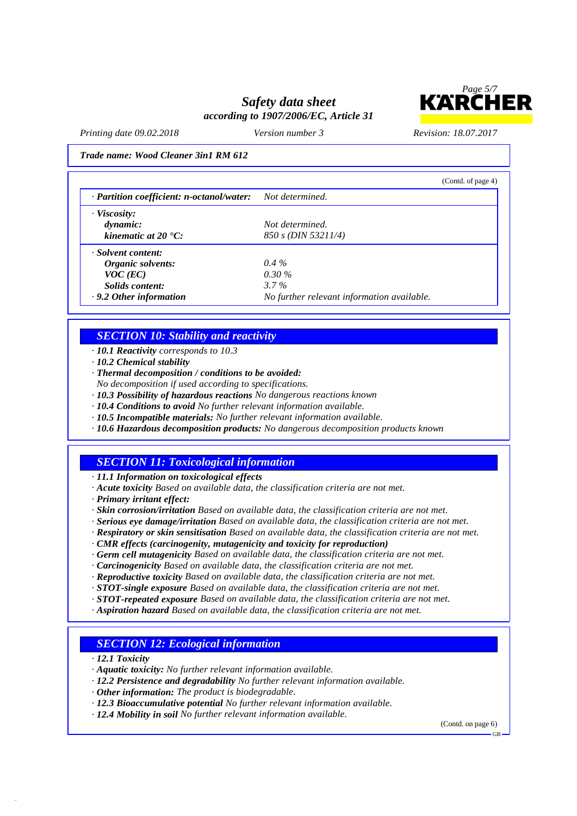

*Printing date 09.02.2018 Version number 3 Revision: 18.07.2017*

#### *Trade name: Wood Cleaner 3in1 RM 612*

|                                           |                                            | (Contd. of page 4) |
|-------------------------------------------|--------------------------------------------|--------------------|
| · Partition coefficient: n-octanol/water: | Not determined.                            |                    |
| · <i>Viscosity</i> :                      |                                            |                    |
| dynamic:                                  | Not determined.                            |                    |
| kinematic at $20 \text{ }^{\circ}C$ :     | 850 s (DIN 53211/4)                        |                    |
| · Solvent content:                        |                                            |                    |
| Organic solvents:                         | $0.4\%$                                    |                    |
| $VOC$ (EC)                                | $0.30\%$                                   |                    |
| Solids content:                           | $3.7\%$                                    |                    |
| $\cdot$ 9.2 Other information             | No further relevant information available. |                    |

### *SECTION 10: Stability and reactivity*

- *· 10.1 Reactivity corresponds to 10.3*
- *· 10.2 Chemical stability*
- *· Thermal decomposition / conditions to be avoided:*
- *No decomposition if used according to specifications.*
- *· 10.3 Possibility of hazardous reactions No dangerous reactions known*
- *· 10.4 Conditions to avoid No further relevant information available.*
- *· 10.5 Incompatible materials: No further relevant information available.*
- *· 10.6 Hazardous decomposition products: No dangerous decomposition products known*

### *SECTION 11: Toxicological information*

### *· 11.1 Information on toxicological effects*

- *· Acute toxicity Based on available data, the classification criteria are not met.*
- *· Primary irritant effect:*
- *· Skin corrosion/irritation Based on available data, the classification criteria are not met.*
- *· Serious eye damage/irritation Based on available data, the classification criteria are not met.*
- *· Respiratory or skin sensitisation Based on available data, the classification criteria are not met.*
- *· CMR effects (carcinogenity, mutagenicity and toxicity for reproduction)*
- *· Germ cell mutagenicity Based on available data, the classification criteria are not met.*
- *· Carcinogenicity Based on available data, the classification criteria are not met.*
- *· Reproductive toxicity Based on available data, the classification criteria are not met.*
- *· STOT-single exposure Based on available data, the classification criteria are not met.*
- *· STOT-repeated exposure Based on available data, the classification criteria are not met.*
- *· Aspiration hazard Based on available data, the classification criteria are not met.*

### *SECTION 12: Ecological information*

*· 12.1 Toxicity*

46.0.7

- *· Aquatic toxicity: No further relevant information available.*
- *· 12.2 Persistence and degradability No further relevant information available.*
- *· Other information: The product is biodegradable.*
- *· 12.3 Bioaccumulative potential No further relevant information available.*
- *· 12.4 Mobility in soil No further relevant information available.*

(Contd. on page 6)

GB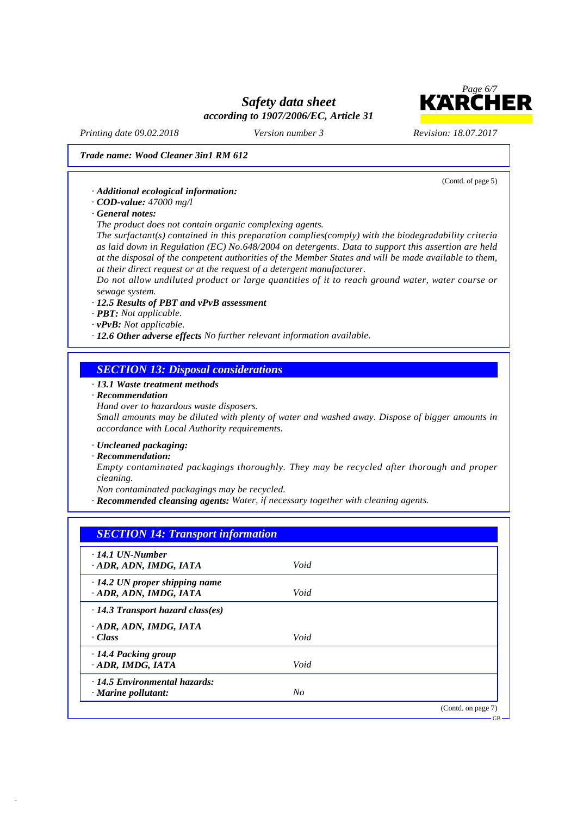

(Contd. of page 5)

GB

*Printing date 09.02.2018 Version number 3 Revision: 18.07.2017*

#### *Trade name: Wood Cleaner 3in1 RM 612*

*· Additional ecological information:*

*· COD-value: 47000 mg/l*

*· General notes:*

*The product does not contain organic complexing agents.*

*The surfactant(s) contained in this preparation complies(comply) with the biodegradability criteria as laid down in Regulation (EC) No.648/2004 on detergents. Data to support this assertion are held* at the disposal of the competent authorities of the Member States and will be made available to them, *at their direct request or at the request of a detergent manufacturer.*

*Do not allow undiluted product or large quantities of it to reach ground water, water course or sewage system.*

### *· 12.5 Results of PBT and vPvB assessment*

*· PBT: Not applicable.*

*· vPvB: Not applicable.*

*· 12.6 Other adverse effects No further relevant information available.*

### *SECTION 13: Disposal considerations*

### *· 13.1 Waste treatment methods*

#### *· Recommendation*

*Hand over to hazardous waste disposers.*

*Small amounts may be diluted with plenty of water and washed away. Dispose of bigger amounts in accordance with Local Authority requirements.*

### *· Uncleaned packaging:*

### *· Recommendation:*

46.0.7

*Empty contaminated packagings thoroughly. They may be recycled after thorough and proper cleaning.*

*Non contaminated packagings may be recycled.*

*· Recommended cleansing agents: Water, if necessary together with cleaning agents.*

| <b>SECTION 14: Transport information</b>                     |      |                    |
|--------------------------------------------------------------|------|--------------------|
| $\cdot$ 14.1 UN-Number<br>ADR, ADN, IMDG, IATA               | Void |                    |
| $\cdot$ 14.2 UN proper shipping name<br>ADR, ADN, IMDG, IATA | Void |                    |
| $\cdot$ 14.3 Transport hazard class(es)                      |      |                    |
| · ADR, ADN, IMDG, IATA<br>· Class                            | Void |                    |
| $\cdot$ 14.4 Packing group<br>· ADR, IMDG, IATA              | Void |                    |
| · 14.5 Environmental hazards:<br>$\cdot$ Marine pollutant:   | No   |                    |
|                                                              |      | (Contd. on page 7) |